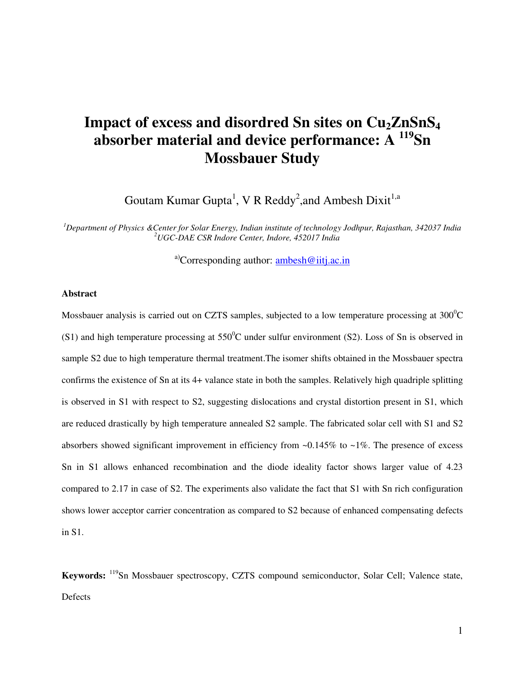# **Impact of excess and disordred Sn sites on Cu2ZnSnS<sup>4</sup> absorber material and device performance: A <sup>119</sup>Sn Mossbauer Study**

Goutam Kumar Gupta<sup>1</sup>, V R Reddy<sup>2</sup>, and Ambesh Dixit<sup>1, a</sup>

*<sup>1</sup>Department of Physics &Center for Solar Energy, Indian institute of technology Jodhpur, Rajasthan, 342037 India <sup>2</sup>UGC-DAE CSR Indore Center, Indore, 452017 India* 

<sup>a)</sup>Corresponding author:  $\frac{\text{ambesh@iii.ac.in}}{\text{subesh@iii.ac.in}}$ 

#### **Abstract**

Mossbauer analysis is carried out on CZTS samples, subjected to a low temperature processing at  $300^{\circ}$ C (S1) and high temperature processing at  $550^{\circ}$ C under sulfur environment (S2). Loss of Sn is observed in sample S2 due to high temperature thermal treatment.The isomer shifts obtained in the Mossbauer spectra confirms the existence of Sn at its 4+ valance state in both the samples. Relatively high quadriple splitting is observed in S1 with respect to S2, suggesting dislocations and crystal distortion present in S1, which are reduced drastically by high temperature annealed S2 sample. The fabricated solar cell with S1 and S2 absorbers showed significant improvement in efficiency from  $\sim 0.145\%$  to  $\sim 1\%$ . The presence of excess Sn in S1 allows enhanced recombination and the diode ideality factor shows larger value of 4.23 compared to 2.17 in case of S2. The experiments also validate the fact that S1 with Sn rich configuration shows lower acceptor carrier concentration as compared to S2 because of enhanced compensating defects in S1.

**Keywords:** <sup>119</sup>Sn Mossbauer spectroscopy, CZTS compound semiconductor, Solar Cell; Valence state, Defects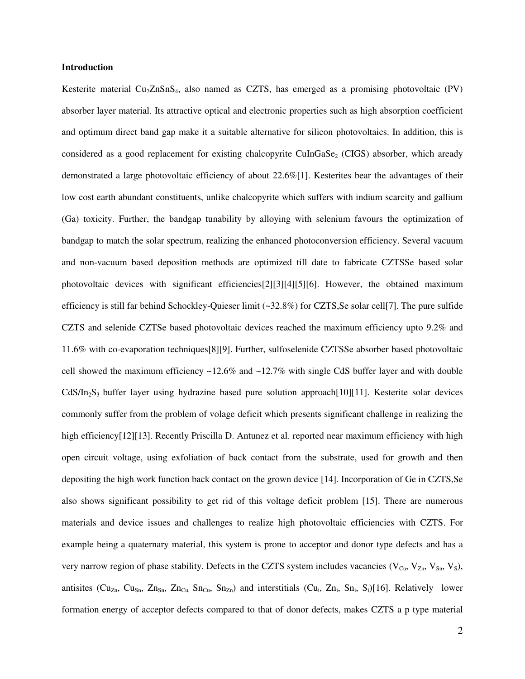#### **Introduction**

Kesterite material Cu<sub>2</sub>ZnSnS<sub>4</sub>, also named as CZTS, has emerged as a promising photovoltaic (PV) absorber layer material. Its attractive optical and electronic properties such as high absorption coefficient and optimum direct band gap make it a suitable alternative for silicon photovoltaics. In addition, this is considered as a good replacement for existing chalcopyrite CuInGaSe<sub>2</sub> (CIGS) absorber, which aready demonstrated a large photovoltaic efficiency of about 22.6%[1]. Kesterites bear the advantages of their low cost earth abundant constituents, unlike chalcopyrite which suffers with indium scarcity and gallium (Ga) toxicity. Further, the bandgap tunability by alloying with selenium favours the optimization of bandgap to match the solar spectrum, realizing the enhanced photoconversion efficiency. Several vacuum and non-vacuum based deposition methods are optimized till date to fabricate CZTSSe based solar photovoltaic devices with significant efficiencies[2][3][4][5][6]. However, the obtained maximum efficiency is still far behind Schockley-Quieser limit (~32.8%) for CZTS,Se solar cell[7]. The pure sulfide CZTS and selenide CZTSe based photovoltaic devices reached the maximum efficiency upto 9.2% and 11.6% with co-evaporation techniques[8][9]. Further, sulfoselenide CZTSSe absorber based photovoltaic cell showed the maximum efficiency  $\sim$ 12.6% and  $\sim$ 12.7% with single CdS buffer layer and with double CdS/In<sub>2</sub>S<sub>3</sub> buffer layer using hydrazine based pure solution approach[10][11]. Kesterite solar devices commonly suffer from the problem of volage deficit which presents significant challenge in realizing the high efficiency[12][13]. Recently Priscilla D. Antunez et al. reported near maximum efficiency with high open circuit voltage, using exfoliation of back contact from the substrate, used for growth and then depositing the high work function back contact on the grown device [14]. Incorporation of Ge in CZTS,Se also shows significant possibility to get rid of this voltage deficit problem [15]. There are numerous materials and device issues and challenges to realize high photovoltaic efficiencies with CZTS. For example being a quaternary material, this system is prone to acceptor and donor type defects and has a very narrow region of phase stability. Defects in the CZTS system includes vacancies ( $V_{Cu}$ ,  $V_{Zn}$ ,  $V_{Sn}$ ,  $V_{S}$ ), antisites (Cu<sub>Zn</sub>, Cu<sub>Sn</sub>, Zn<sub>Sn</sub>, Zn<sub>Cu</sub>, Sn<sub>Cu</sub>, Sn<sub>Zn</sub>) and interstitials (Cu<sub>i</sub>, Zn<sub>i</sub>, Sn<sub>i</sub>, S<sub>i</sub>)[16]. Relatively lower formation energy of acceptor defects compared to that of donor defects, makes CZTS a p type material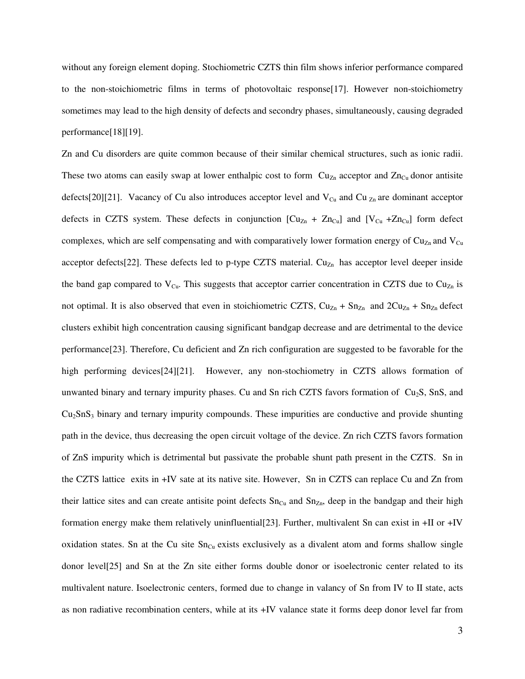without any foreign element doping. Stochiometric CZTS thin film shows inferior performance compared to the non-stoichiometric films in terms of photovoltaic response[17]. However non-stoichiometry sometimes may lead to the high density of defects and secondry phases, simultaneously, causing degraded performance[18][19].

Zn and Cu disorders are quite common because of their similar chemical structures, such as ionic radii. These two atoms can easily swap at lower enthalpic cost to form  $Cu<sub>Zn</sub>$  acceptor and  $Zn<sub>Cu</sub>$  donor antisite defects[20][21]. Vacancy of Cu also introduces acceptor level and  $V_{Cu}$  and Cu  $_{Zn}$  are dominant acceptor defects in CZTS system. These defects in conjunction  $[Cu_{Zn} + Zn_{Cu}]$  and  $[V_{Cu} + Zn_{Cu}]$  form defect complexes, which are self compensating and with comparatively lower formation energy of  $Cu<sub>Zn</sub>$  and  $V<sub>Cu</sub>$ acceptor defects[22]. These defects led to p-type CZTS material.  $Cu<sub>Zn</sub>$  has acceptor level deeper inside the band gap compared to  $V_{Cu}$ . This suggests that acceptor carrier concentration in CZTS due to Cu<sub>Zn</sub> is not optimal. It is also observed that even in stoichiometric CZTS,  $Cu_{Zn} + Sn_{Zn}$  and  $2Cu_{Zn} + Sn_{Zn}$  defect clusters exhibit high concentration causing significant bandgap decrease and are detrimental to the device performance[23]. Therefore, Cu deficient and Zn rich configuration are suggested to be favorable for the high performing devices[24][21]. However, any non-stochiometry in CZTS allows formation of unwanted binary and ternary impurity phases. Cu and Sn rich CZTS favors formation of  $Cu<sub>2</sub>S$ , SnS, and  $Cu<sub>2</sub>SnS<sub>3</sub>$  binary and ternary impurity compounds. These impurities are conductive and provide shunting path in the device, thus decreasing the open circuit voltage of the device. Zn rich CZTS favors formation of ZnS impurity which is detrimental but passivate the probable shunt path present in the CZTS. Sn in the CZTS lattice exits in +IV sate at its native site. However, Sn in CZTS can replace Cu and Zn from their lattice sites and can create antisite point defects  $Sn_{Cu}$  and  $Sn_{Zn}$ , deep in the bandgap and their high formation energy make them relatively uninfluential[23]. Further, multivalent Sn can exist in +II or +IV oxidation states. Sn at the Cu site  $Sn_{Cu}$  exists exclusively as a divalent atom and forms shallow single donor level[25] and Sn at the Zn site either forms double donor or isoelectronic center related to its multivalent nature. Isoelectronic centers, formed due to change in valancy of Sn from IV to II state, acts as non radiative recombination centers, while at its +IV valance state it forms deep donor level far from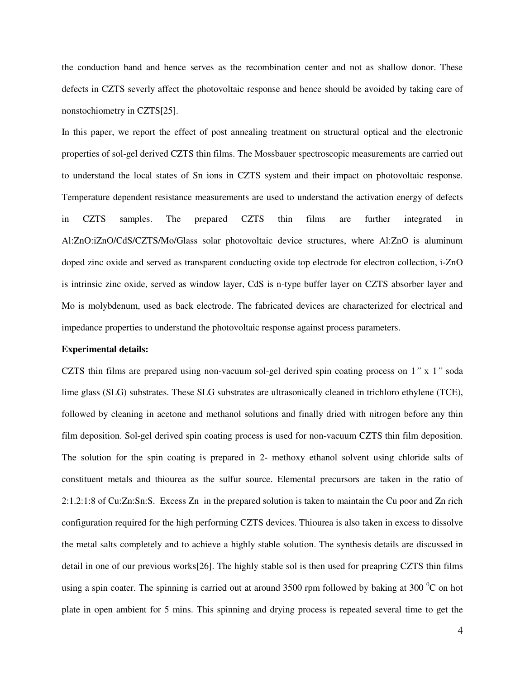the conduction band and hence serves as the recombination center and not as shallow donor. These defects in CZTS severly affect the photovoltaic response and hence should be avoided by taking care of nonstochiometry in CZTS[25].

In this paper, we report the effect of post annealing treatment on structural optical and the electronic properties of sol-gel derived CZTS thin films. The Mossbauer spectroscopic measurements are carried out to understand the local states of Sn ions in CZTS system and their impact on photovoltaic response. Temperature dependent resistance measurements are used to understand the activation energy of defects in CZTS samples. The prepared CZTS thin films are further integrated in Al:ZnO:iZnO/CdS/CZTS/Mo/Glass solar photovoltaic device structures, where Al:ZnO is aluminum doped zinc oxide and served as transparent conducting oxide top electrode for electron collection, i-ZnO is intrinsic zinc oxide, served as window layer, CdS is n-type buffer layer on CZTS absorber layer and Mo is molybdenum, used as back electrode. The fabricated devices are characterized for electrical and impedance properties to understand the photovoltaic response against process parameters.

## **Experimental details:**

CZTS thin films are prepared using non-vacuum sol-gel derived spin coating process on 1*"* x 1*"* soda lime glass (SLG) substrates. These SLG substrates are ultrasonically cleaned in trichloro ethylene (TCE), followed by cleaning in acetone and methanol solutions and finally dried with nitrogen before any thin film deposition. Sol-gel derived spin coating process is used for non-vacuum CZTS thin film deposition. The solution for the spin coating is prepared in 2- methoxy ethanol solvent using chloride salts of constituent metals and thiourea as the sulfur source. Elemental precursors are taken in the ratio of 2:1.2:1:8 of Cu:Zn:Sn:S. Excess Zn in the prepared solution is taken to maintain the Cu poor and Zn rich configuration required for the high performing CZTS devices. Thiourea is also taken in excess to dissolve the metal salts completely and to achieve a highly stable solution. The synthesis details are discussed in detail in one of our previous works[26]. The highly stable sol is then used for preapring CZTS thin films using a spin coater. The spinning is carried out at around 3500 rpm followed by baking at 300 $\,^0$ C on hot plate in open ambient for 5 mins. This spinning and drying process is repeated several time to get the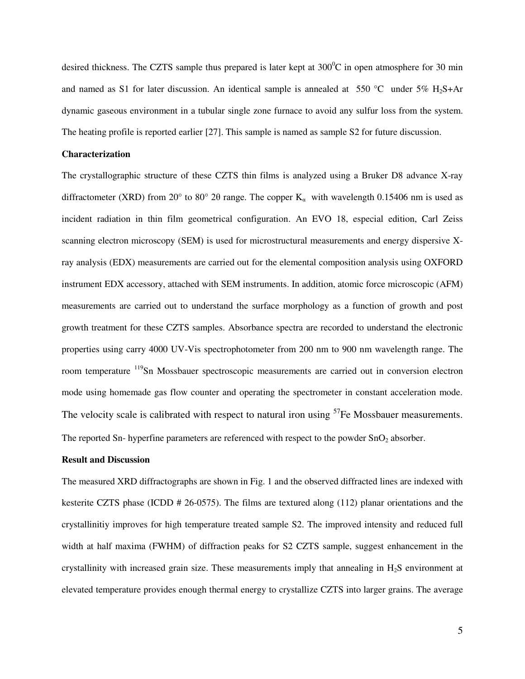desired thickness. The CZTS sample thus prepared is later kept at  $300^{\circ}$ C in open atmosphere for 30 min and named as S1 for later discussion. An identical sample is annealed at 550 °C under 5% H<sub>2</sub>S+Ar dynamic gaseous environment in a tubular single zone furnace to avoid any sulfur loss from the system. The heating profile is reported earlier [27]. This sample is named as sample S2 for future discussion.

### **Characterization**

The crystallographic structure of these CZTS thin films is analyzed using a Bruker D8 advance X-ray diffractometer (XRD) from 20° to 80° 20 range. The copper  $K_a$  with wavelength 0.15406 nm is used as incident radiation in thin film geometrical configuration. An EVO 18, especial edition, Carl Zeiss scanning electron microscopy (SEM) is used for microstructural measurements and energy dispersive Xray analysis (EDX) measurements are carried out for the elemental composition analysis using OXFORD instrument EDX accessory, attached with SEM instruments. In addition, atomic force microscopic (AFM) measurements are carried out to understand the surface morphology as a function of growth and post growth treatment for these CZTS samples. Absorbance spectra are recorded to understand the electronic properties using carry 4000 UV-Vis spectrophotometer from 200 nm to 900 nm wavelength range. The room temperature <sup>119</sup>Sn Mossbauer spectroscopic measurements are carried out in conversion electron mode using homemade gas flow counter and operating the spectrometer in constant acceleration mode. The velocity scale is calibrated with respect to natural iron using  $<sup>57</sup>Fe$  Mossbauer measurements.</sup> The reported Sn- hyperfine parameters are referenced with respect to the powder  $SnO<sub>2</sub>$  absorber.

## **Result and Discussion**

The measured XRD diffractographs are shown in Fig. 1 and the observed diffracted lines are indexed with kesterite CZTS phase (ICDD # 26-0575). The films are textured along (112) planar orientations and the crystallinitiy improves for high temperature treated sample S2. The improved intensity and reduced full width at half maxima (FWHM) of diffraction peaks for S2 CZTS sample, suggest enhancement in the crystallinity with increased grain size. These measurements imply that annealing in  $H<sub>2</sub>S$  environment at elevated temperature provides enough thermal energy to crystallize CZTS into larger grains. The average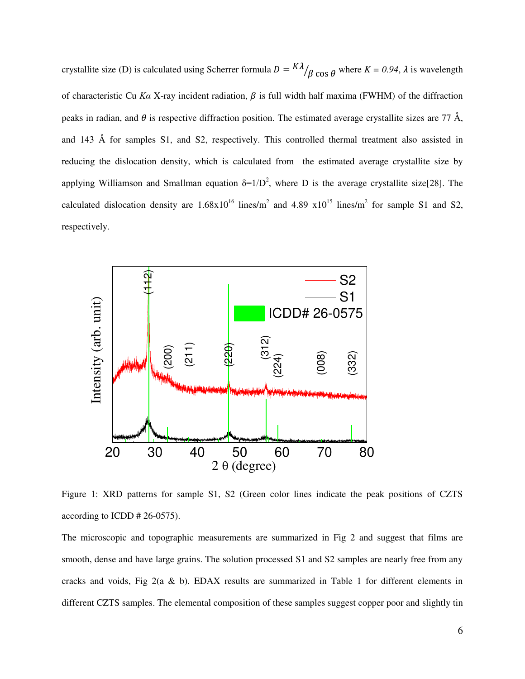crystallite size (D) is calculated using Scherrer formula  $D = {K\lambda \over \beta} \cos \theta$  where  $K = 0.94$ ,  $\lambda$  is wavelength of characteristic Cu *Ka* X-ray incident radiation,  $\beta$  is full width half maxima (FWHM) of the diffraction peaks in radian, and  $\theta$  is respective diffraction position. The estimated average crystallite sizes are 77 Å, and 143 Å for samples S1, and S2, respectively. This controlled thermal treatment also assisted in reducing the dislocation density, which is calculated from the estimated average crystallite size by applying Williamson and Smallman equation  $\delta = 1/D^2$ , where D is the average crystallite size[28]. The calculated dislocation density are  $1.68 \times 10^{16}$  lines/m<sup>2</sup> and 4.89  $\times 10^{15}$  lines/m<sup>2</sup> for sample S1 and S2, respectively.



Figure 1: XRD patterns for sample S1, S2 (Green color lines indicate the peak positions of CZTS according to ICDD # 26-0575).

The microscopic and topographic measurements are summarized in Fig 2 and suggest that films are smooth, dense and have large grains. The solution processed S1 and S2 samples are nearly free from any cracks and voids, Fig  $2(a \& b)$ . EDAX results are summarized in Table 1 for different elements in different CZTS samples. The elemental composition of these samples suggest copper poor and slightly tin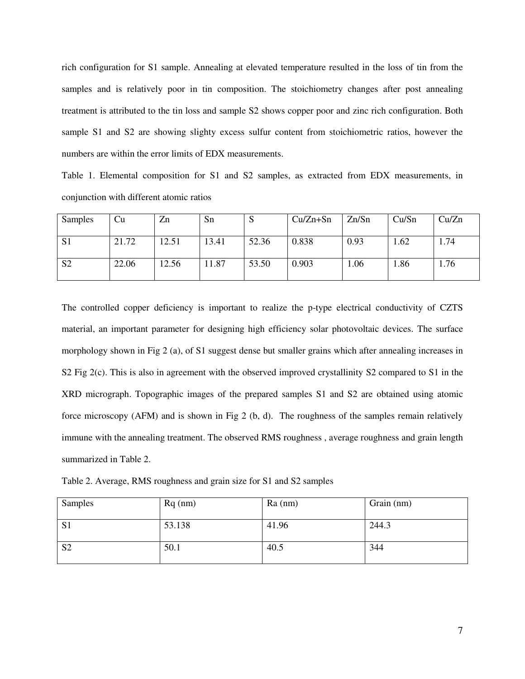rich configuration for S1 sample. Annealing at elevated temperature resulted in the loss of tin from the samples and is relatively poor in tin composition. The stoichiometry changes after post annealing treatment is attributed to the tin loss and sample S2 shows copper poor and zinc rich configuration. Both sample S1 and S2 are showing slighty excess sulfur content from stoichiometric ratios, however the numbers are within the error limits of EDX measurements.

Table 1. Elemental composition for S1 and S2 samples, as extracted from EDX measurements, in conjunction with different atomic ratios

| Samples        | Cu    | Zn    | Sn    | C     | $Cu/Zn+Sn$ | Zn/Sn | Cu/Sn | Cu/Zn |
|----------------|-------|-------|-------|-------|------------|-------|-------|-------|
| S <sub>1</sub> | 21.72 | 12.51 | 13.41 | 52.36 | 0.838      | 0.93  | .62   | 1.74  |
| S <sub>2</sub> | 22.06 | 12.56 | 11.87 | 53.50 | 0.903      | 1.06  | 1.86  | 1.76  |

The controlled copper deficiency is important to realize the p-type electrical conductivity of CZTS material, an important parameter for designing high efficiency solar photovoltaic devices. The surface morphology shown in Fig 2 (a), of S1 suggest dense but smaller grains which after annealing increases in S2 Fig 2(c). This is also in agreement with the observed improved crystallinity S2 compared to S1 in the XRD micrograph. Topographic images of the prepared samples S1 and S2 are obtained using atomic force microscopy (AFM) and is shown in Fig 2 (b, d). The roughness of the samples remain relatively immune with the annealing treatment. The observed RMS roughness , average roughness and grain length summarized in Table 2.

Table 2. Average, RMS roughness and grain size for S1 and S2 samples

| Samples        | $Rq$ (nm) | $Ra$ (nm) | Grain (nm) |
|----------------|-----------|-----------|------------|
| S <sub>1</sub> | 53.138    | 41.96     | 244.3      |
| S <sub>2</sub> | 50.1      | 40.5      | 344        |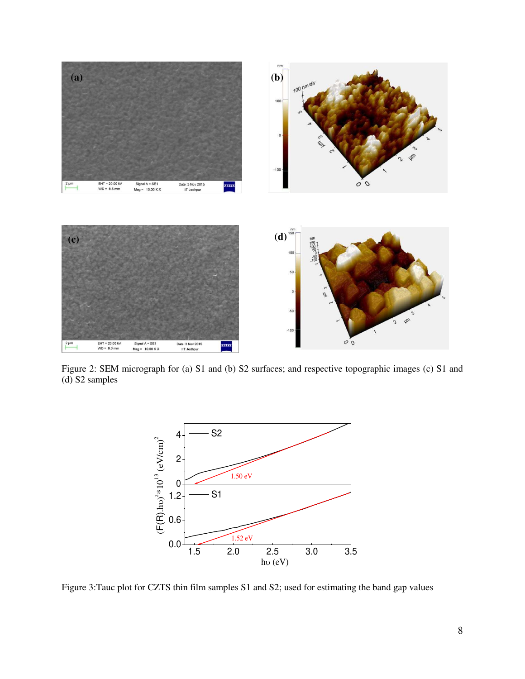

Figure 2: SEM micrograph for (a) S1 and (b) S2 surfaces; and respective topographic images (c) S1 and (d) S2 samples



Figure 3:Tauc plot for CZTS thin film samples S1 and S2; used for estimating the band gap values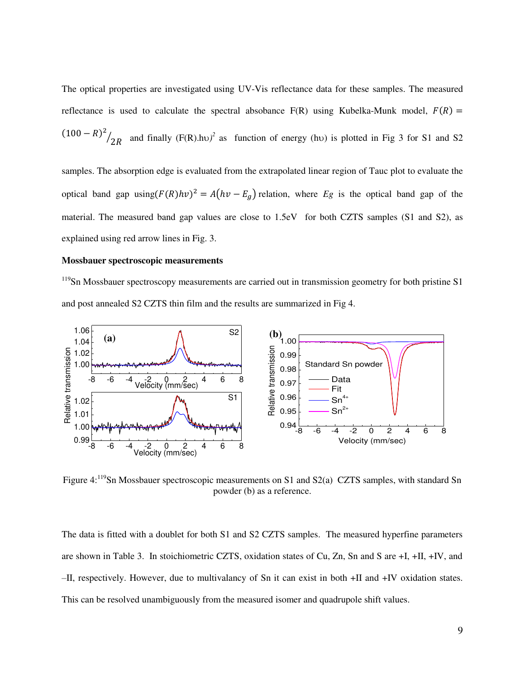The optical properties are investigated using UV-Vis reflectance data for these samples. The measured reflectance is used to calculate the spectral absobance  $F(R)$  using Kubelka-Munk model,  $F(R)$  =  $(100 - R)^2/2R$  and finally (F(R).hv)<sup>2</sup> as function of energy (hv) is plotted in Fig 3 for S1 and S2

samples. The absorption edge is evaluated from the extrapolated linear region of Tauc plot to evaluate the optical band gap using $(F(R)hv)^2 = A(hv - E_g)$  relation, where *Eg* is the optical band gap of the material. The measured band gap values are close to 1.5eV for both CZTS samples (S1 and S2), as explained using red arrow lines in Fig. 3.

#### **Mossbauer spectroscopic measurements**

 $119$ Sn Mossbauer spectroscopy measurements are carried out in transmission geometry for both pristine S1 and post annealed S2 CZTS thin film and the results are summarized in Fig 4.



Figure 4:<sup>119</sup>Sn Mossbauer spectroscopic measurements on S1 and S2(a) CZTS samples, with standard Sn powder (b) as a reference.

The data is fitted with a doublet for both S1 and S2 CZTS samples. The measured hyperfine parameters are shown in Table 3. In stoichiometric CZTS, oxidation states of Cu, Zn, Sn and S are +I, +II, +IV, and –II, respectively. However, due to multivalancy of Sn it can exist in both +II and +IV oxidation states. This can be resolved unambiguously from the measured isomer and quadrupole shift values.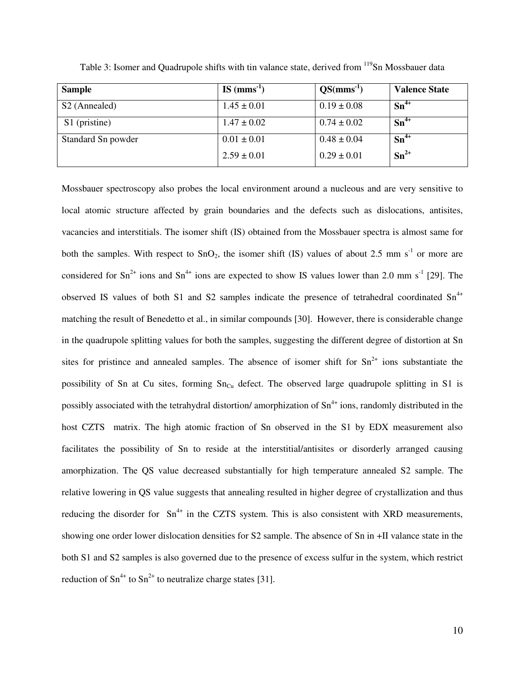| <b>Sample</b>             | $IS$ (mms <sup>-1</sup> ) | $QS(mms^{-1})$  | <b>Valence State</b> |
|---------------------------|---------------------------|-----------------|----------------------|
| S <sub>2</sub> (Annealed) | $1.45 \pm 0.01$           | $0.19 \pm 0.08$ | $Sn^{4+}$            |
| S1 (pristine)             | $1.47 \pm 0.02$           | $0.74 \pm 0.02$ | $Sn^{4+}$            |
| Standard Sn powder        | $0.01 \pm 0.01$           | $0.48 \pm 0.04$ | $Sn^{4+}$            |
|                           | $2.59 \pm 0.01$           | $0.29 \pm 0.01$ | $Sn^{2+}$            |

Table 3: Isomer and Quadrupole shifts with tin valance state, derived from <sup>119</sup>Sn Mossbauer data

Mossbauer spectroscopy also probes the local environment around a nucleous and are very sensitive to local atomic structure affected by grain boundaries and the defects such as dislocations, antisites, vacancies and interstitials. The isomer shift (IS) obtained from the Mossbauer spectra is almost same for both the samples. With respect to  $SnO<sub>2</sub>$ , the isomer shift (IS) values of about 2.5 mm s<sup>-1</sup> or more are considered for  $\text{Sn}^{2+}$  ions and  $\text{Sn}^{4+}$  ions are expected to show IS values lower than 2.0 mm s<sup>-1</sup> [29]. The observed IS values of both S1 and S2 samples indicate the presence of tetrahedral coordinated Sn<sup>4+</sup> matching the result of Benedetto et al., in similar compounds [30]. However, there is considerable change in the quadrupole splitting values for both the samples, suggesting the different degree of distortion at Sn sites for pristince and annealed samples. The absence of isomer shift for  $Sn^{2+}$  ions substantiate the possibility of Sn at Cu sites, forming  $Sn_{Cu}$  defect. The observed large quadrupole splitting in S1 is possibly associated with the tetrahydral distortion/ amorphization of  $Sn^{4+}$  ions, randomly distributed in the host CZTS matrix. The high atomic fraction of Sn observed in the S1 by EDX measurement also facilitates the possibility of Sn to reside at the interstitial/antisites or disorderly arranged causing amorphization. The QS value decreased substantially for high temperature annealed S2 sample. The relative lowering in QS value suggests that annealing resulted in higher degree of crystallization and thus reducing the disorder for  $Sn^{4+}$  in the CZTS system. This is also consistent with XRD measurements, showing one order lower dislocation densities for S2 sample. The absence of Sn in +II valance state in the both S1 and S2 samples is also governed due to the presence of excess sulfur in the system, which restrict reduction of  $\text{Sn}^{4+}$  to  $\text{Sn}^{2+}$  to neutralize charge states [31].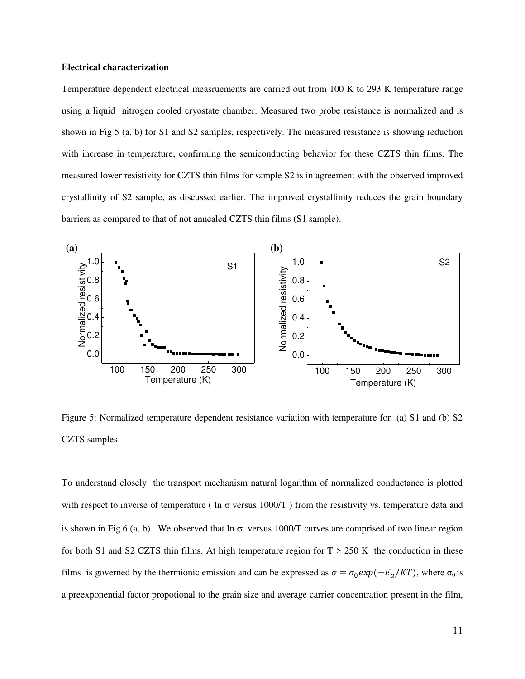#### **Electrical characterization**

Temperature dependent electrical measruements are carried out from 100 K to 293 K temperature range using a liquid nitrogen cooled cryostate chamber. Measured two probe resistance is normalized and is shown in Fig 5 (a, b) for S1 and S2 samples, respectively. The measured resistance is showing reduction with increase in temperature, confirming the semiconducting behavior for these CZTS thin films. The measured lower resistivity for CZTS thin films for sample S2 is in agreement with the observed improved crystallinity of S2 sample, as discussed earlier. The improved crystallinity reduces the grain boundary barriers as compared to that of not annealed CZTS thin films (S1 sample).



Figure 5: Normalized temperature dependent resistance variation with temperature for (a) S1 and (b) S2 CZTS samples

To understand closely the transport mechanism natural logarithm of normalized conductance is plotted with respect to inverse of temperature (  $\ln \sigma$  versus 1000/T ) from the resistivity vs. temperature data and is shown in Fig.6 (a, b). We observed that  $\ln \sigma$  versus 1000/T curves are comprised of two linear region for both S1 and S2 CZTS thin films. At high temperature region for  $T > 250$  K the conduction in these films is governed by the thermionic emission and can be expressed as  $\sigma = \sigma_0 exp(-E_a/KT)$ , where  $\sigma_0$  is a preexponential factor propotional to the grain size and average carrier concentration present in the film,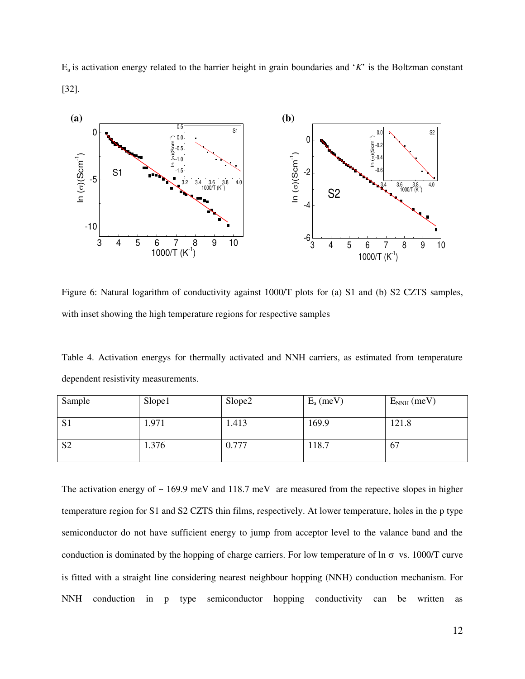$E_a$  is activation energy related to the barrier height in grain boundaries and '*K*' is the Boltzman constant [32].



Figure 6: Natural logarithm of conductivity against 1000/T plots for (a) S1 and (b) S2 CZTS samples, with inset showing the high temperature regions for respective samples

Table 4. Activation energys for thermally activated and NNH carriers, as estimated from temperature dependent resistivity measurements.

| Sample         | Slope1 | Slope <sub>2</sub> | $E_a$ (meV) | $E_{NNH}$ (meV) |
|----------------|--------|--------------------|-------------|-----------------|
|                |        |                    |             |                 |
| S <sub>1</sub> | 1.971  | 1.413              | 169.9       | 121.8           |
|                |        |                    |             |                 |
| S <sub>2</sub> | 1.376  | 0.777              | 118.7       | 67              |
|                |        |                    |             |                 |

The activation energy of  $\sim 169.9$  meV and 118.7 meV are measured from the repective slopes in higher temperature region for S1 and S2 CZTS thin films, respectively. At lower temperature, holes in the p type semiconductor do not have sufficient energy to jump from acceptor level to the valance band and the conduction is dominated by the hopping of charge carriers. For low temperature of  $\ln \sigma$  vs. 1000/T curve is fitted with a straight line considering nearest neighbour hopping (NNH) conduction mechanism. For NNH conduction in p type semiconductor hopping conductivity can be written as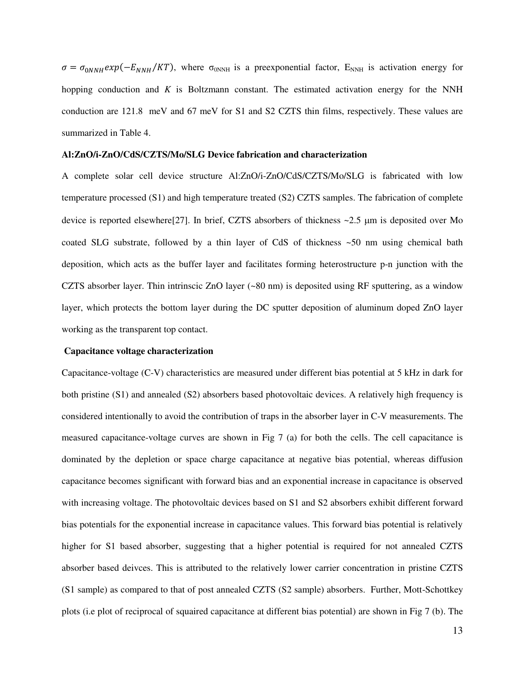$\sigma = \sigma_{0NNH} exp(-E_{NNH}/KT)$ , where  $\sigma_{0NNH}$  is a preexponential factor, E<sub>NNH</sub> is activation energy for hopping conduction and *K* is Boltzmann constant. The estimated activation energy for the NNH conduction are 121.8 meV and 67 meV for S1 and S2 CZTS thin films, respectively. These values are summarized in Table 4.

#### **Al:ZnO/i-ZnO/CdS/CZTS/Mo/SLG Device fabrication and characterization**

A complete solar cell device structure Al:ZnO/i-ZnO/CdS/CZTS/Mo/SLG is fabricated with low temperature processed (S1) and high temperature treated (S2) CZTS samples. The fabrication of complete device is reported elsewhere<sup>[27]</sup>. In brief, CZTS absorbers of thickness  $\sim$ 2.5  $\mu$ m is deposited over Mo coated SLG substrate, followed by a thin layer of CdS of thickness ~50 nm using chemical bath deposition, which acts as the buffer layer and facilitates forming heterostructure p-n junction with the CZTS absorber layer. Thin intrinscic ZnO layer (~80 nm) is deposited using RF sputtering, as a window layer, which protects the bottom layer during the DC sputter deposition of aluminum doped ZnO layer working as the transparent top contact.

#### **Capacitance voltage characterization**

Capacitance-voltage (C-V) characteristics are measured under different bias potential at 5 kHz in dark for both pristine (S1) and annealed (S2) absorbers based photovoltaic devices. A relatively high frequency is considered intentionally to avoid the contribution of traps in the absorber layer in C-V measurements. The measured capacitance-voltage curves are shown in Fig 7 (a) for both the cells. The cell capacitance is dominated by the depletion or space charge capacitance at negative bias potential, whereas diffusion capacitance becomes significant with forward bias and an exponential increase in capacitance is observed with increasing voltage. The photovoltaic devices based on S1 and S2 absorbers exhibit different forward bias potentials for the exponential increase in capacitance values. This forward bias potential is relatively higher for S1 based absorber, suggesting that a higher potential is required for not annealed CZTS absorber based deivces. This is attributed to the relatively lower carrier concentration in pristine CZTS (S1 sample) as compared to that of post annealed CZTS (S2 sample) absorbers. Further, Mott-Schottkey plots (i.e plot of reciprocal of squaired capacitance at different bias potential) are shown in Fig 7 (b). The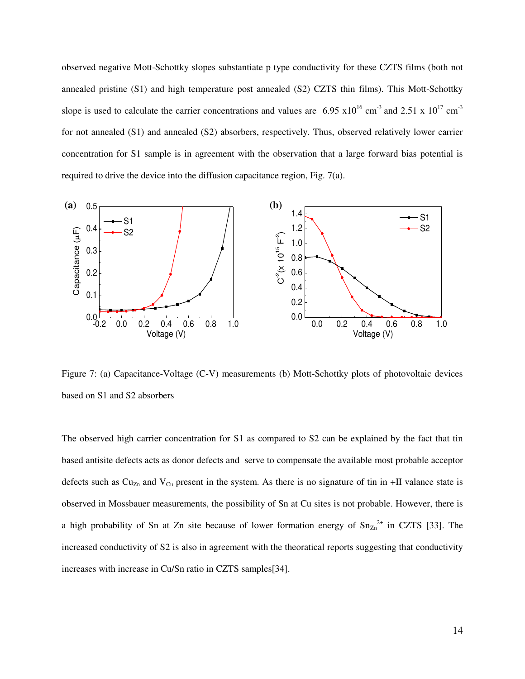observed negative Mott-Schottky slopes substantiate p type conductivity for these CZTS films (both not annealed pristine (S1) and high temperature post annealed (S2) CZTS thin films). This Mott-Schottky slope is used to calculate the carrier concentrations and values are 6.95  $\times 10^{16}$  cm<sup>-3</sup> and 2.51 x 10<sup>17</sup> cm<sup>-3</sup> for not annealed (S1) and annealed (S2) absorbers, respectively. Thus, observed relatively lower carrier concentration for S1 sample is in agreement with the observation that a large forward bias potential is required to drive the device into the diffusion capacitance region, Fig. 7(a).



Figure 7: (a) Capacitance-Voltage (C-V) measurements (b) Mott-Schottky plots of photovoltaic devices based on S1 and S2 absorbers

The observed high carrier concentration for S1 as compared to S2 can be explained by the fact that tin based antisite defects acts as donor defects and serve to compensate the available most probable acceptor defects such as  $Cu_{Zn}$  and  $V_{Cu}$  present in the system. As there is no signature of tin in +II valance state is observed in Mossbauer measurements, the possibility of Sn at Cu sites is not probable. However, there is a high probability of Sn at Zn site because of lower formation energy of  $\text{SnZn}^{2+}$  in CZTS [33]. The increased conductivity of S2 is also in agreement with the theoratical reports suggesting that conductivity increases with increase in Cu/Sn ratio in CZTS samples[34].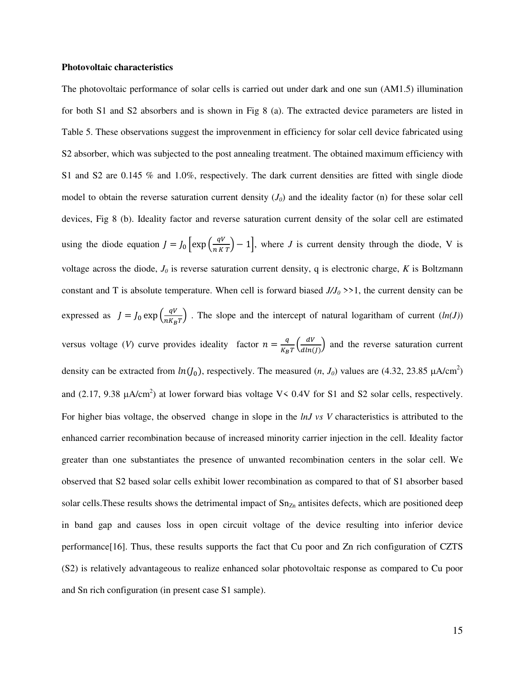#### **Photovoltaic characteristics**

The photovoltaic performance of solar cells is carried out under dark and one sun (AM1.5) illumination for both S1 and S2 absorbers and is shown in Fig 8 (a). The extracted device parameters are listed in Table 5. These observations suggest the improvenment in efficiency for solar cell device fabricated using S2 absorber, which was subjected to the post annealing treatment. The obtained maximum efficiency with S1 and S2 are 0.145 % and 1.0%, respectively. The dark current densities are fitted with single diode model to obtain the reverse saturation current density  $(J_0)$  and the ideality factor (n) for these solar cell devices, Fig 8 (b). Ideality factor and reverse saturation current density of the solar cell are estimated using the diode equation  $J = J_0 \left[ exp \left( \frac{qV}{nKT} \right) - 1 \right]$ , where *J* is current density through the diode, *V* is voltage across the diode, *J0* is reverse saturation current density, q is electronic charge, *K* is Boltzmann constant and T is absolute temperature. When cell is forward biased *J/J<sup>0</sup>* >>1, the current density can be expressed as  $J = J_0 \exp\left(\frac{qV}{nK_B T}\right)$ . The slope and the intercept of natural logaritham of current  $(ln(J))$ versus voltage (*V*) curve provides ideality factor  $n = \frac{q}{K_B}$  $\frac{q}{K_B T} \left( \frac{dV}{d \ln(J)} \right)$  and the reverse saturation current density can be extracted from  $ln(J_0)$ , respectively. The measured  $(n, J_0)$  values are (4.32, 23.85  $\mu$ A/cm<sup>2</sup>) and (2.17, 9.38  $\mu$ A/cm<sup>2</sup>) at lower forward bias voltage V< 0.4V for S1 and S2 solar cells, respectively. For higher bias voltage, the observed change in slope in the *lnJ vs V* characteristics is attributed to the enhanced carrier recombination because of increased minority carrier injection in the cell. Ideality factor greater than one substantiates the presence of unwanted recombination centers in the solar cell. We observed that S2 based solar cells exhibit lower recombination as compared to that of S1 absorber based solar cells. These results shows the detrimental impact of Sn<sub>Zn</sub> antisites defects, which are positioned deep in band gap and causes loss in open circuit voltage of the device resulting into inferior device performance[16]. Thus, these results supports the fact that Cu poor and Zn rich configuration of CZTS (S2) is relatively advantageous to realize enhanced solar photovoltaic response as compared to Cu poor and Sn rich configuration (in present case S1 sample).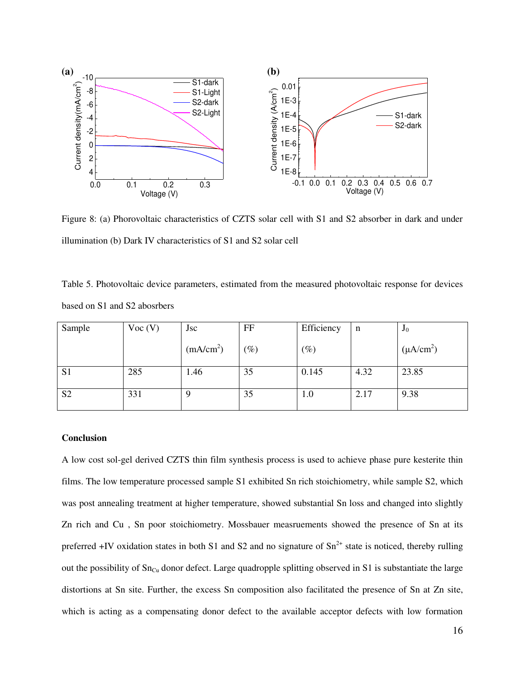

Figure 8: (a) Phorovoltaic characteristics of CZTS solar cell with S1 and S2 absorber in dark and under illumination (b) Dark IV characteristics of S1 and S2 solar cell

Table 5. Photovoltaic device parameters, estimated from the measured photovoltaic response for devices based on S1 and S2 abosrbers

| Sample         | Voc(V) | Jsc                   | FF              | Efficiency | n    | $J_0$          |
|----------------|--------|-----------------------|-----------------|------------|------|----------------|
|                |        | (mA/cm <sup>2</sup> ) | $\mathscr{G}_o$ | $(\%)$     |      | $(\mu A/cm^2)$ |
| S <sub>1</sub> | 285    | 1.46                  | 35              | 0.145      | 4.32 | 23.85          |
| S <sub>2</sub> | 331    | 9                     | 35              | 1.0        | 2.17 | 9.38           |

## **Conclusion**

A low cost sol-gel derived CZTS thin film synthesis process is used to achieve phase pure kesterite thin films. The low temperature processed sample S1 exhibited Sn rich stoichiometry, while sample S2, which was post annealing treatment at higher temperature, showed substantial Sn loss and changed into slightly Zn rich and Cu , Sn poor stoichiometry. Mossbauer measruements showed the presence of Sn at its preferred  $+IV$  oxidation states in both S1 and S2 and no signature of  $Sn^{2+}$  state is noticed, thereby rulling out the possibility of  $Sn_{Cu}$  donor defect. Large quadropple splitting observed in S1 is substantiate the large distortions at Sn site. Further, the excess Sn composition also facilitated the presence of Sn at Zn site, which is acting as a compensating donor defect to the available acceptor defects with low formation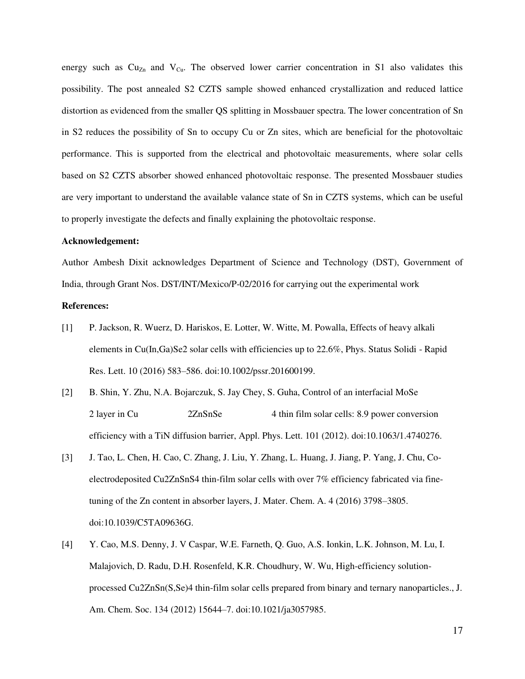energy such as  $Cu_{Zn}$  and  $V_{Cu}$ . The observed lower carrier concentration in S1 also validates this possibility. The post annealed S2 CZTS sample showed enhanced crystallization and reduced lattice distortion as evidenced from the smaller QS splitting in Mossbauer spectra. The lower concentration of Sn in S2 reduces the possibility of Sn to occupy Cu or Zn sites, which are beneficial for the photovoltaic performance. This is supported from the electrical and photovoltaic measurements, where solar cells based on S2 CZTS absorber showed enhanced photovoltaic response. The presented Mossbauer studies are very important to understand the available valance state of Sn in CZTS systems, which can be useful to properly investigate the defects and finally explaining the photovoltaic response.

## **Acknowledgement:**

Author Ambesh Dixit acknowledges Department of Science and Technology (DST), Government of India, through Grant Nos. DST/INT/Mexico/P-02/2016 for carrying out the experimental work

## **References:**

- [1] P. Jackson, R. Wuerz, D. Hariskos, E. Lotter, W. Witte, M. Powalla, Effects of heavy alkali elements in Cu(In,Ga)Se2 solar cells with efficiencies up to 22.6%, Phys. Status Solidi - Rapid Res. Lett. 10 (2016) 583–586. doi:10.1002/pssr.201600199.
- [2] B. Shin, Y. Zhu, N.A. Bojarczuk, S. Jay Chey, S. Guha, Control of an interfacial MoSe 2 layer in Cu 2ZnSnSe 4 thin film solar cells: 8.9 power conversion efficiency with a TiN diffusion barrier, Appl. Phys. Lett. 101 (2012). doi:10.1063/1.4740276.
- [3] J. Tao, L. Chen, H. Cao, C. Zhang, J. Liu, Y. Zhang, L. Huang, J. Jiang, P. Yang, J. Chu, Coelectrodeposited Cu2ZnSnS4 thin-film solar cells with over 7% efficiency fabricated via finetuning of the Zn content in absorber layers, J. Mater. Chem. A. 4 (2016) 3798–3805. doi:10.1039/C5TA09636G.
- [4] Y. Cao, M.S. Denny, J. V Caspar, W.E. Farneth, Q. Guo, A.S. Ionkin, L.K. Johnson, M. Lu, I. Malajovich, D. Radu, D.H. Rosenfeld, K.R. Choudhury, W. Wu, High-efficiency solutionprocessed Cu2ZnSn(S,Se)4 thin-film solar cells prepared from binary and ternary nanoparticles., J. Am. Chem. Soc. 134 (2012) 15644–7. doi:10.1021/ja3057985.

17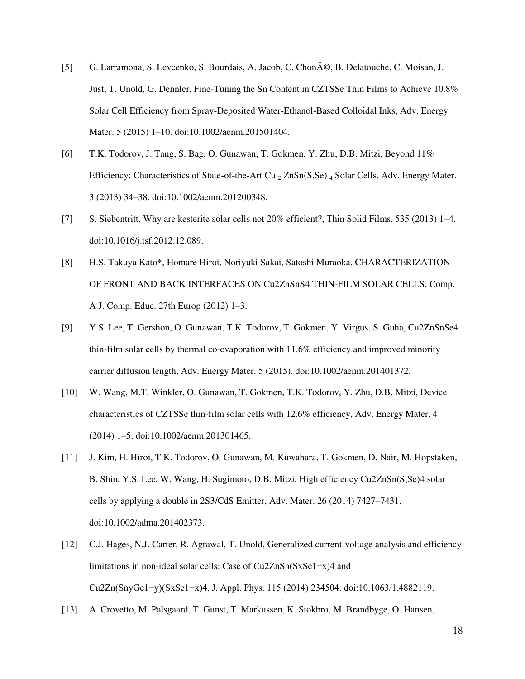- [5] G. Larramona, S. Levcenko, S. Bourdais, A. Jacob, C. Chon $\tilde{A}$ ©, B. Delatouche, C. Moisan, J. Just, T. Unold, G. Dennler, Fine-Tuning the Sn Content in CZTSSe Thin Films to Achieve 10.8% Solar Cell Efficiency from Spray-Deposited Water-Ethanol-Based Colloidal Inks, Adv. Energy Mater. 5 (2015) 1–10. doi:10.1002/aenm.201501404.
- [6] T.K. Todorov, J. Tang, S. Bag, O. Gunawan, T. Gokmen, Y. Zhu, D.B. Mitzi, Beyond 11% Efficiency: Characteristics of State-of-the-Art Cu  $_2$  ZnSn(S,Se)  $_4$  Solar Cells, Adv. Energy Mater. 3 (2013) 34–38. doi:10.1002/aenm.201200348.
- [7] S. Siebentritt, Why are kesterite solar cells not 20% efficient?, Thin Solid Films. 535 (2013) 1–4. doi:10.1016/j.tsf.2012.12.089.
- [8] H.S. Takuya Kato\*, Homare Hiroi, Noriyuki Sakai, Satoshi Muraoka, CHARACTERIZATION OF FRONT AND BACK INTERFACES ON Cu2ZnSnS4 THIN-FILM SOLAR CELLS, Comp. A J. Comp. Educ. 27th Europ (2012) 1–3.
- [9] Y.S. Lee, T. Gershon, O. Gunawan, T.K. Todorov, T. Gokmen, Y. Virgus, S. Guha, Cu2ZnSnSe4 thin-film solar cells by thermal co-evaporation with 11.6% efficiency and improved minority carrier diffusion length, Adv. Energy Mater. 5 (2015). doi:10.1002/aenm.201401372.
- [10] W. Wang, M.T. Winkler, O. Gunawan, T. Gokmen, T.K. Todorov, Y. Zhu, D.B. Mitzi, Device characteristics of CZTSSe thin-film solar cells with 12.6% efficiency, Adv. Energy Mater. 4 (2014) 1–5. doi:10.1002/aenm.201301465.
- [11] J. Kim, H. Hiroi, T.K. Todorov, O. Gunawan, M. Kuwahara, T. Gokmen, D. Nair, M. Hopstaken, B. Shin, Y.S. Lee, W. Wang, H. Sugimoto, D.B. Mitzi, High efficiency Cu2ZnSn(S,Se)4 solar cells by applying a double in 2S3/CdS Emitter, Adv. Mater. 26 (2014) 7427–7431. doi:10.1002/adma.201402373.
- [12] C.J. Hages, N.J. Carter, R. Agrawal, T. Unold, Generalized current-voltage analysis and efficiency limitations in non-ideal solar cells: Case of Cu2ZnSn(SxSe1−x)4 and Cu2Zn(SnyGe1−y)(SxSe1−x)4, J. Appl. Phys. 115 (2014) 234504. doi:10.1063/1.4882119.
- [13] A. Crovetto, M. Palsgaard, T. Gunst, T. Markussen, K. Stokbro, M. Brandbyge, O. Hansen,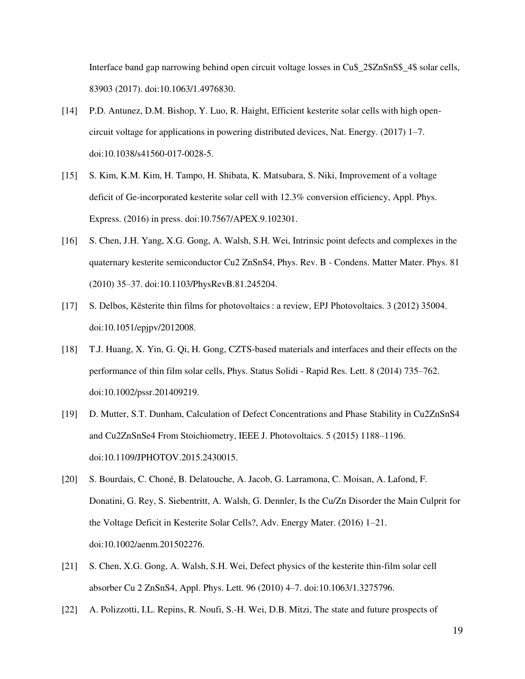Interface band gap narrowing behind open circuit voltage losses in Cu\$\_2\$ZnSnS\$\_4\$ solar cells, 83903 (2017). doi:10.1063/1.4976830.

- [14] P.D. Antunez, D.M. Bishop, Y. Luo, R. Haight, Efficient kesterite solar cells with high opencircuit voltage for applications in powering distributed devices, Nat. Energy. (2017) 1–7. doi:10.1038/s41560-017-0028-5.
- [15] S. Kim, K.M. Kim, H. Tampo, H. Shibata, K. Matsubara, S. Niki, Improvement of a voltage deficit of Ge-incorporated kesterite solar cell with 12.3% conversion efficiency, Appl. Phys. Express. (2016) in press. doi:10.7567/APEX.9.102301.
- [16] S. Chen, J.H. Yang, X.G. Gong, A. Walsh, S.H. Wei, Intrinsic point defects and complexes in the quaternary kesterite semiconductor Cu2 ZnSnS4, Phys. Rev. B - Condens. Matter Mater. Phys. 81 (2010) 35–37. doi:10.1103/PhysRevB.81.245204.
- [17] S. Delbos, Kësterite thin films for photovoltaics : a review, EPJ Photovoltaics. 3 (2012) 35004. doi:10.1051/epjpv/2012008.
- [18] T.J. Huang, X. Yin, G. Qi, H. Gong, CZTS-based materials and interfaces and their effects on the performance of thin film solar cells, Phys. Status Solidi - Rapid Res. Lett. 8 (2014) 735–762. doi:10.1002/pssr.201409219.
- [19] D. Mutter, S.T. Dunham, Calculation of Defect Concentrations and Phase Stability in Cu2ZnSnS4 and Cu2ZnSnSe4 From Stoichiometry, IEEE J. Photovoltaics. 5 (2015) 1188–1196. doi:10.1109/JPHOTOV.2015.2430015.
- [20] S. Bourdais, C. Choné, B. Delatouche, A. Jacob, G. Larramona, C. Moisan, A. Lafond, F. Donatini, G. Rey, S. Siebentritt, A. Walsh, G. Dennler, Is the Cu/Zn Disorder the Main Culprit for the Voltage Deficit in Kesterite Solar Cells?, Adv. Energy Mater. (2016) 1–21. doi:10.1002/aenm.201502276.
- [21] S. Chen, X.G. Gong, A. Walsh, S.H. Wei, Defect physics of the kesterite thin-film solar cell absorber Cu 2 ZnSnS4, Appl. Phys. Lett. 96 (2010) 4–7. doi:10.1063/1.3275796.
- [22] A. Polizzotti, I.L. Repins, R. Noufi, S.-H. Wei, D.B. Mitzi, The state and future prospects of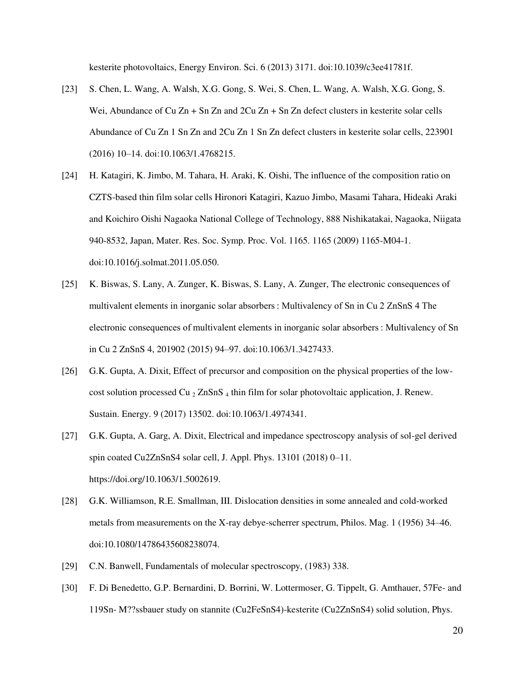kesterite photovoltaics, Energy Environ. Sci. 6 (2013) 3171. doi:10.1039/c3ee41781f.

- [23] S. Chen, L. Wang, A. Walsh, X.G. Gong, S. Wei, S. Chen, L. Wang, A. Walsh, X.G. Gong, S. Wei, Abundance of Cu Zn + Sn Zn and 2Cu Zn + Sn Zn defect clusters in kesterite solar cells Abundance of Cu Zn 1 Sn Zn and 2Cu Zn 1 Sn Zn defect clusters in kesterite solar cells, 223901 (2016) 10–14. doi:10.1063/1.4768215.
- [24] H. Katagiri, K. Jimbo, M. Tahara, H. Araki, K. Oishi, The influence of the composition ratio on CZTS-based thin film solar cells Hironori Katagiri, Kazuo Jimbo, Masami Tahara, Hideaki Araki and Koichiro Oishi Nagaoka National College of Technology, 888 Nishikatakai, Nagaoka, Niigata 940-8532, Japan, Mater. Res. Soc. Symp. Proc. Vol. 1165. 1165 (2009) 1165-M04-1. doi:10.1016/j.solmat.2011.05.050.
- [25] K. Biswas, S. Lany, A. Zunger, K. Biswas, S. Lany, A. Zunger, The electronic consequences of multivalent elements in inorganic solar absorbers : Multivalency of Sn in Cu 2 ZnSnS 4 The electronic consequences of multivalent elements in inorganic solar absorbers : Multivalency of Sn in Cu 2 ZnSnS 4, 201902 (2015) 94–97. doi:10.1063/1.3427433.
- [26] G.K. Gupta, A. Dixit, Effect of precursor and composition on the physical properties of the lowcost solution processed Cu  $_2$  ZnSnS  $_4$  thin film for solar photovoltaic application, J. Renew. Sustain. Energy. 9 (2017) 13502. doi:10.1063/1.4974341.
- [27] G.K. Gupta, A. Garg, A. Dixit, Electrical and impedance spectroscopy analysis of sol-gel derived spin coated Cu2ZnSnS4 solar cell, J. Appl. Phys. 13101 (2018) 0–11. https://doi.org/10.1063/1.5002619.
- [28] G.K. Williamson, R.E. Smallman, III. Dislocation densities in some annealed and cold-worked metals from measurements on the X-ray debye-scherrer spectrum, Philos. Mag. 1 (1956) 34–46. doi:10.1080/14786435608238074.
- [29] C.N. Banwell, Fundamentals of molecular spectroscopy, (1983) 338.
- [30] F. Di Benedetto, G.P. Bernardini, D. Borrini, W. Lottermoser, G. Tippelt, G. Amthauer, 57Fe- and 119Sn- M??ssbauer study on stannite (Cu2FeSnS4)-kesterite (Cu2ZnSnS4) solid solution, Phys.